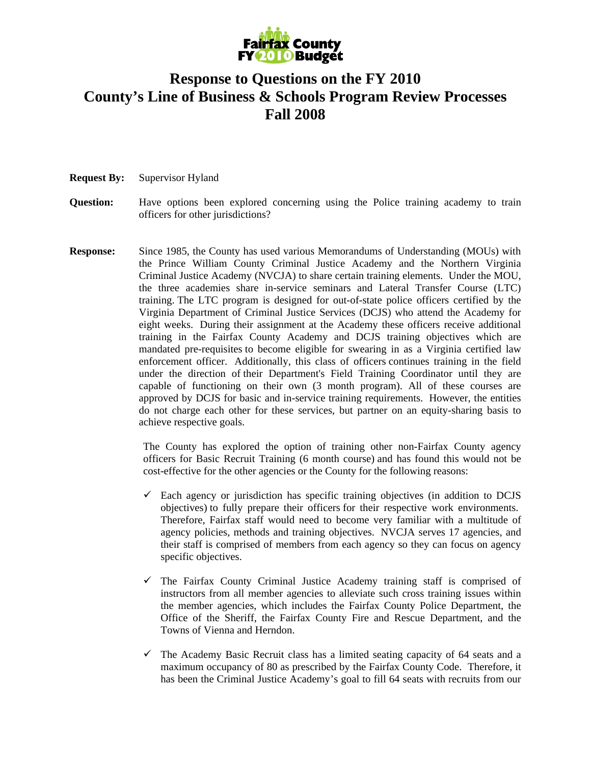

## **Response to Questions on the FY 2010 County's Line of Business & Schools Program Review Processes Fall 2008**

- **Request By:** Supervisor Hyland
- **Question:** Have options been explored concerning using the Police training academy to train officers for other jurisdictions?
- **Response:** Since 1985, the County has used various Memorandums of Understanding (MOUs) with the Prince William County Criminal Justice Academy and the Northern Virginia Criminal Justice Academy (NVCJA) to share certain training elements. Under the MOU, the three academies share in-service seminars and Lateral Transfer Course (LTC) training. The LTC program is designed for out-of-state police officers certified by the Virginia Department of Criminal Justice Services (DCJS) who attend the Academy for eight weeks. During their assignment at the Academy these officers receive additional training in the Fairfax County Academy and DCJS training objectives which are mandated pre-requisites to become eligible for swearing in as a Virginia certified law enforcement officer. Additionally, this class of officers continues training in the field under the direction of their Department's Field Training Coordinator until they are capable of functioning on their own (3 month program). All of these courses are approved by DCJS for basic and in-service training requirements. However, the entities do not charge each other for these services, but partner on an equity-sharing basis to achieve respective goals.

The County has explored the option of training other non-Fairfax County agency officers for Basic Recruit Training (6 month course) and has found this would not be cost-effective for the other agencies or the County for the following reasons:

- $\checkmark$  Each agency or jurisdiction has specific training objectives (in addition to DCJS objectives) to fully prepare their officers for their respective work environments. Therefore, Fairfax staff would need to become very familiar with a multitude of agency policies, methods and training objectives. NVCJA serves 17 agencies, and their staff is comprised of members from each agency so they can focus on agency specific objectives.
- $\checkmark$  The Fairfax County Criminal Justice Academy training staff is comprised of instructors from all member agencies to alleviate such cross training issues within the member agencies, which includes the Fairfax County Police Department, the Office of the Sheriff, the Fairfax County Fire and Rescue Department, and the Towns of Vienna and Herndon.
- $\checkmark$  The Academy Basic Recruit class has a limited seating capacity of 64 seats and a maximum occupancy of 80 as prescribed by the Fairfax County Code. Therefore, it has been the Criminal Justice Academy's goal to fill 64 seats with recruits from our